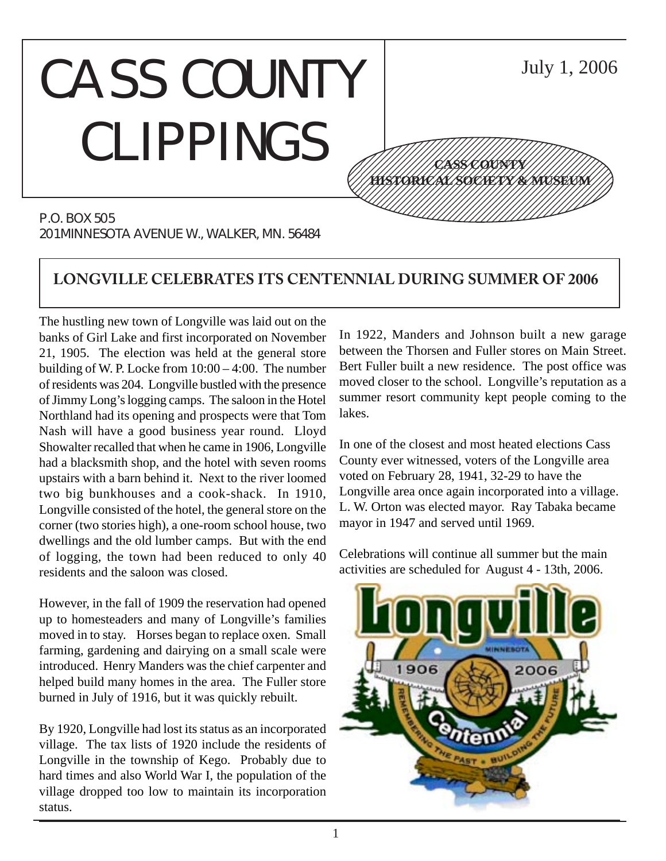### CASS COUNTY CLIPPINGS P.O. BOX 505 201 MINNESOTA AVENUE W., WALKER, MN. 56484 July 1, 2006 12345678901234567890123456789012345678901234567890123456789012345678901234567890123456789012345678901234567890 12345678901234567890123456789012123456789012345 12345678901234567890123456789012123456789012345 12345678901234567890123456789012123456789012345 12345678901234567890123456789012123456789012345 <u>\///HYSTORICAL SOCIETY/&/MUSEUM///</u> 12345678901234567890123456789012123456789012345 1234 The Territorial Constitution of the Constitution of the Constitution of the Constitution of the Constitution of 12345678901234567890123456789012345678901234567890123456789012345678901234567890123456789012345678901234567890 **CASS COUNTY**

## **LONGVILLE CELEBRATES ITS CENTENNIAL DURING SUMMER OF 2006**

The hustling new town of Longville was laid out on the banks of Girl Lake and first incorporated on November 21, 1905. The election was held at the general store building of W. P. Locke from  $10:00 - 4:00$ . The number of residents was 204. Longville bustled with the presence of Jimmy Long's logging camps. The saloon in the Hotel Northland had its opening and prospects were that Tom Nash will have a good business year round. Lloyd Showalter recalled that when he came in 1906, Longville had a blacksmith shop, and the hotel with seven rooms upstairs with a barn behind it. Next to the river loomed two big bunkhouses and a cook-shack. In 1910, Longville consisted of the hotel, the general store on the corner (two stories high), a one-room school house, two dwellings and the old lumber camps. But with the end of logging, the town had been reduced to only 40 residents and the saloon was closed.

However, in the fall of 1909 the reservation had opened up to homesteaders and many of Longville's families moved in to stay. Horses began to replace oxen. Small farming, gardening and dairying on a small scale were introduced. Henry Manders was the chief carpenter and helped build many homes in the area. The Fuller store burned in July of 1916, but it was quickly rebuilt.

By 1920, Longville had lost its status as an incorporated village. The tax lists of 1920 include the residents of Longville in the township of Kego. Probably due to hard times and also World War I, the population of the village dropped too low to maintain its incorporation status.

In 1922, Manders and Johnson built a new garage between the Thorsen and Fuller stores on Main Street. Bert Fuller built a new residence. The post office was moved closer to the school. Longville's reputation as a summer resort community kept people coming to the lakes.

In one of the closest and most heated elections Cass County ever witnessed, voters of the Longville area voted on February 28, 1941, 32-29 to have the Longville area once again incorporated into a village. L. W. Orton was elected mayor. Ray Tabaka became mayor in 1947 and served until 1969.

Celebrations will continue all summer but the main activities are scheduled for August 4 - 13th, 2006.

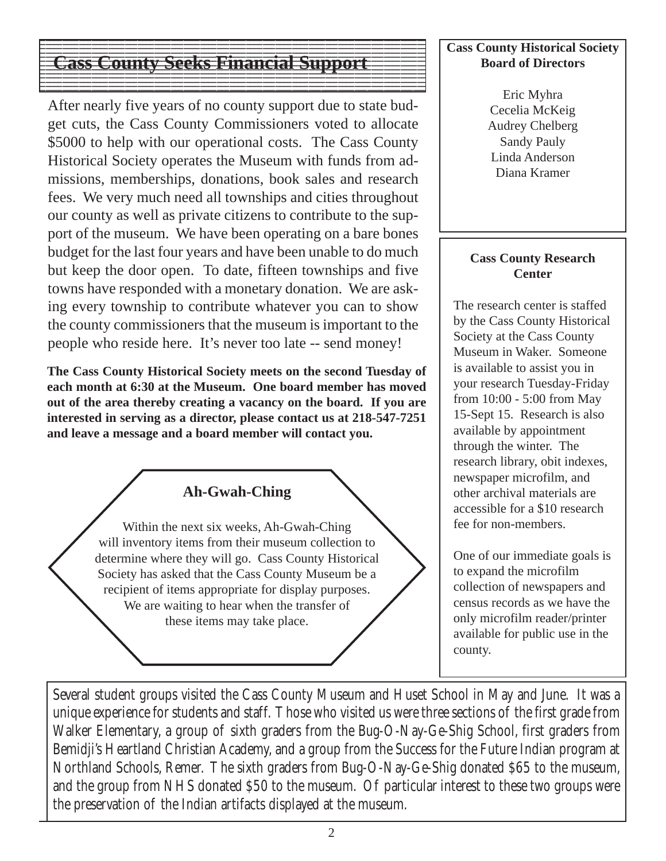### $1$  9  $\pm$  9  $\pm$  9  $\pm$  9  $\pm$  9  $\pm$  9  $\pm$  9  $\pm$  9  $\pm$  9  $\pm$  9  $\pm$  9  $\pm$  9  $\pm$  9  $\pm$  9  $\pm$  9  $\pm$  9  $\pm$  9  $\pm$  9  $\pm$  9  $\pm$  9  $\pm$  9  $\pm$  9  $\pm$  9  $\pm$  9  $\pm$  9  $\pm$  9  $\pm$  9  $\pm$  9  $\pm$  9  $\pm$  9  $\pm$  9  $\pm$  **Cass County Seeks Financial Support**  $1$  9  $-$  9  $-$  9  $-$  9  $-$  9  $-$  9  $-$  9  $-$  9  $-$  9  $-$  9  $-$  9  $-$  9  $-$  9  $-$  9  $-$  9  $-$  9  $-$  9  $-$  9  $-$  9  $-$  9  $-$  9  $-$  9  $-$  9  $-$  9  $-$  9  $-$  9  $-$  9  $-$  9  $-$  9  $-$  9  $-$  9  $-$  9  $-$  9  $-$  9  $-$  9  $-$  9  $-$  9

123456789012345678901234567890121234567890123456789012345678901212345678901234567890123456789 123456789012345678901234567890121234567890123456789012345678901212345678901234567890123456789

123456789012345678901234567890121234567890123456789012345678901212345678901234567890123456789  $1$  9  $\pm$  9  $\pm$  9  $\pm$  9  $\pm$  9  $\pm$  9  $\pm$  9  $\pm$  9  $\pm$  9  $\pm$  9  $\pm$  9  $\pm$  9  $\pm$  9  $\pm$  9  $\pm$  9  $\pm$  9  $\pm$  9  $\pm$  9  $\pm$  9  $\pm$  9  $\pm$  9  $\pm$  9  $\pm$  9  $\pm$  9  $\pm$  9  $\pm$  9  $\pm$  9  $\pm$  9  $\pm$  9  $\pm$  9  $\pm$  9  $\pm$  123456789012345678901234567890121234567890123456789012345678901212345678901234567890123456789 12345678901234567890123456789012345678901234567890123456789012345678901234567890123456789012345678901234567890

After nearly five years of no county support due to state budget cuts, the Cass County Commissioners voted to allocate \$5000 to help with our operational costs. The Cass County Historical Society operates the Museum with funds from admissions, memberships, donations, book sales and research fees. We very much need all townships and cities throughout our county as well as private citizens to contribute to the support of the museum. We have been operating on a bare bones budget for the last four years and have been unable to do much but keep the door open. To date, fifteen townships and five towns have responded with a monetary donation. We are asking every township to contribute whatever you can to show the county commissioners that the museum is important to the people who reside here. It's never too late -- send money!

**The Cass County Historical Society meets on the second Tuesday of each month at 6:30 at the Museum. One board member has moved out of the area thereby creating a vacancy on the board. If you are interested in serving as a director, please contact us at 218-547-7251 and leave a message and a board member will contact you.**



## **Cass County Historical Society Board of Directors**

Eric Myhra Cecelia McKeig Audrey Chelberg Sandy Pauly Linda Anderson Diana Kramer

## **Cass County Research Center**

The research center is staffed by the Cass County Historical Society at the Cass County Museum in Waker. Someone is available to assist you in your research Tuesday-Friday from 10:00 - 5:00 from May 15-Sept 15. Research is also available by appointment through the winter. The research library, obit indexes, newspaper microfilm, and other archival materials are accessible for a \$10 research fee for non-members.

One of our immediate goals is to expand the microfilm collection of newspapers and census records as we have the only microfilm reader/printer available for public use in the county.

Several student groups visited the Cass County Museum and Huset School in May and June. It was a unique experience for students and staff. Those who visited us were three sections of the first grade from Walker Elementary, a group of sixth graders from the Bug-O-Nay-Ge-Shig School, first graders from Bemidji's Heartland Christian Academy, and a group from the Success for the Future Indian program at Northland Schools, Remer. The sixth graders from Bug-O-Nay-Ge-Shig donated \$65 to the museum, and the group from NHS donated \$50 to the museum. Of particular interest to these two groups were the preservation of the Indian artifacts displayed at the museum.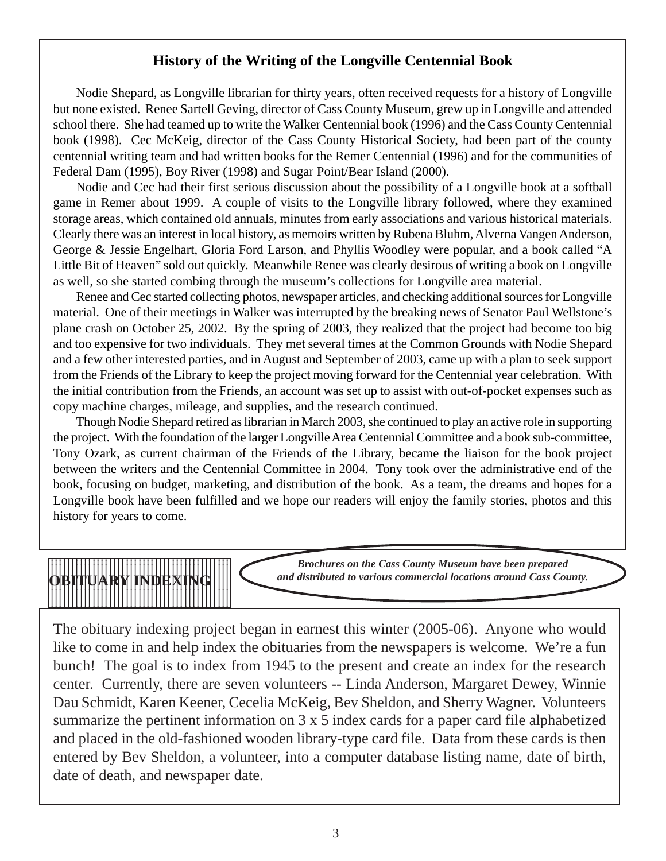## **History of the Writing of the Longville Centennial Book**

Nodie Shepard, as Longville librarian for thirty years, often received requests for a history of Longville but none existed. Renee Sartell Geving, director of Cass County Museum, grew up in Longville and attended school there. She had teamed up to write the Walker Centennial book (1996) and the Cass County Centennial book (1998). Cec McKeig, director of the Cass County Historical Society, had been part of the county centennial writing team and had written books for the Remer Centennial (1996) and for the communities of Federal Dam (1995), Boy River (1998) and Sugar Point/Bear Island (2000).

Nodie and Cec had their first serious discussion about the possibility of a Longville book at a softball game in Remer about 1999. A couple of visits to the Longville library followed, where they examined storage areas, which contained old annuals, minutes from early associations and various historical materials. Clearly there was an interest in local history, as memoirs written by Rubena Bluhm, Alverna Vangen Anderson, George & Jessie Engelhart, Gloria Ford Larson, and Phyllis Woodley were popular, and a book called "A Little Bit of Heaven" sold out quickly. Meanwhile Renee was clearly desirous of writing a book on Longville as well, so she started combing through the museum's collections for Longville area material.

Renee and Cec started collecting photos, newspaper articles, and checking additional sources for Longville material. One of their meetings in Walker was interrupted by the breaking news of Senator Paul Wellstone's plane crash on October 25, 2002. By the spring of 2003, they realized that the project had become too big and too expensive for two individuals. They met several times at the Common Grounds with Nodie Shepard and a few other interested parties, and in August and September of 2003, came up with a plan to seek support from the Friends of the Library to keep the project moving forward for the Centennial year celebration. With the initial contribution from the Friends, an account was set up to assist with out-of-pocket expenses such as copy machine charges, mileage, and supplies, and the research continued.

Though Nodie Shepard retired as librarian in March 2003, she continued to play an active role in supporting the project. With the foundation of the larger Longville Area Centennial Committee and a book sub-committee, Tony Ozark, as current chairman of the Friends of the Library, became the liaison for the book project between the writers and the Centennial Committee in 2004. Tony took over the administrative end of the book, focusing on budget, marketing, and distribution of the book. As a team, the dreams and hopes for a Longville book have been fulfilled and we hope our readers will enjoy the family stories, photos and this history for years to come.



*Brochures on the Cass County Museum have been prepared and distributed to various commercial locations around Cass County.*

The obituary indexing project began in earnest this winter (2005-06). Anyone who would like to come in and help index the obituaries from the newspapers is welcome. We're a fun bunch! The goal is to index from 1945 to the present and create an index for the research center. Currently, there are seven volunteers -- Linda Anderson, Margaret Dewey, Winnie Dau Schmidt, Karen Keener, Cecelia McKeig, Bev Sheldon, and Sherry Wagner. Volunteers summarize the pertinent information on 3 x 5 index cards for a paper card file alphabetized and placed in the old-fashioned wooden library-type card file. Data from these cards is then entered by Bev Sheldon, a volunteer, into a computer database listing name, date of birth, date of death, and newspaper date.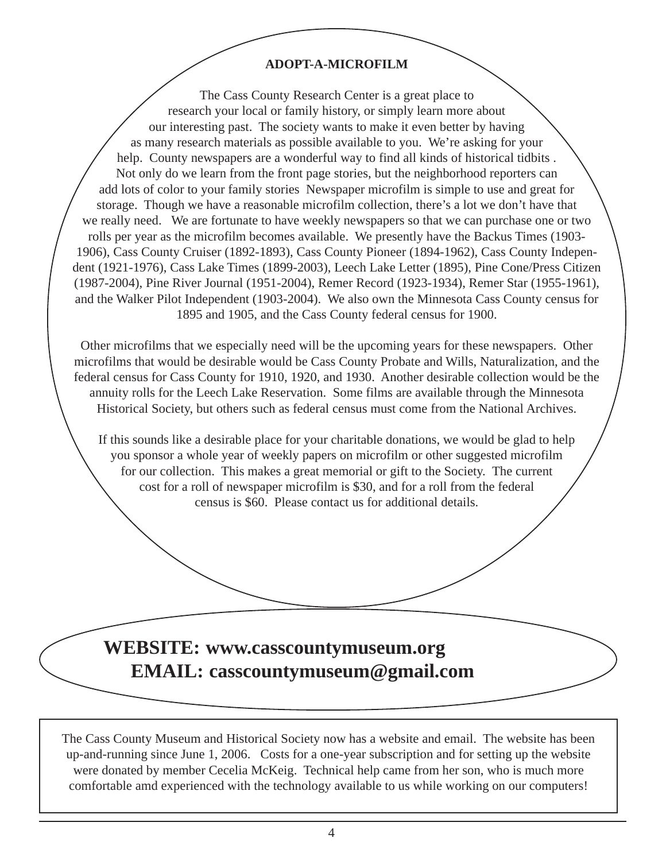## **ADOPT-A-MICROFILM**

The Cass County Research Center is a great place to research your local or family history, or simply learn more about our interesting past. The society wants to make it even better by having as many research materials as possible available to you. We're asking for your help. County newspapers are a wonderful way to find all kinds of historical tidbits . Not only do we learn from the front page stories, but the neighborhood reporters can add lots of color to your family stories Newspaper microfilm is simple to use and great for storage. Though we have a reasonable microfilm collection, there's a lot we don't have that we really need. We are fortunate to have weekly newspapers so that we can purchase one or two rolls per year as the microfilm becomes available. We presently have the Backus Times (1903- 1906), Cass County Cruiser (1892-1893), Cass County Pioneer (1894-1962), Cass County Independent (1921-1976), Cass Lake Times (1899-2003), Leech Lake Letter (1895), Pine Cone/Press Citizen (1987-2004), Pine River Journal (1951-2004), Remer Record (1923-1934), Remer Star (1955-1961), and the Walker Pilot Independent (1903-2004). We also own the Minnesota Cass County census for 1895 and 1905, and the Cass County federal census for 1900.

Other microfilms that we especially need will be the upcoming years for these newspapers. Other microfilms that would be desirable would be Cass County Probate and Wills, Naturalization, and the federal census for Cass County for 1910, 1920, and 1930. Another desirable collection would be the annuity rolls for the Leech Lake Reservation. Some films are available through the Minnesota Historical Society, but others such as federal census must come from the National Archives.

If this sounds like a desirable place for your charitable donations, we would be glad to help you sponsor a whole year of weekly papers on microfilm or other suggested microfilm for our collection. This makes a great memorial or gift to the Society. The current cost for a roll of newspaper microfilm is \$30, and for a roll from the federal census is \$60. Please contact us for additional details.

# **WEBSITE: www.casscountymuseum.org EMAIL: casscountymuseum@gmail.com**

The Cass County Museum and Historical Society now has a website and email. The website has been up-and-running since June 1, 2006. Costs for a one-year subscription and for setting up the website were donated by member Cecelia McKeig. Technical help came from her son, who is much more comfortable amd experienced with the technology available to us while working on our computers!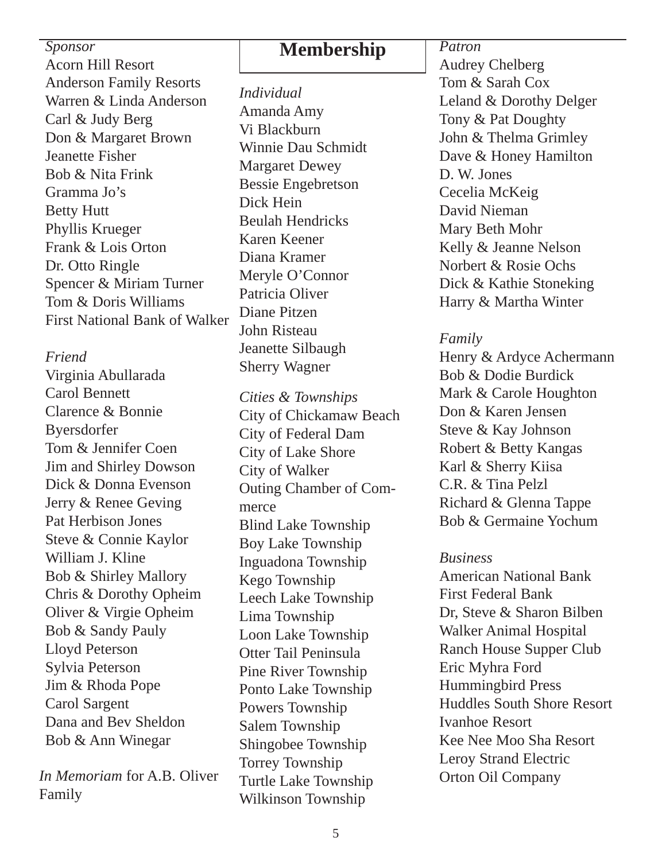*Sponsor* **Membership** Acorn Hill Resort Anderson Family Resorts Warren & Linda Anderson Carl & Judy Berg Don & Margaret Brown Jeanette Fisher Bob & Nita Frink Gramma Jo's Betty Hutt Phyllis Krueger Frank & Lois Orton Dr. Otto Ringle Spencer & Miriam Turner Tom & Doris Williams First National Bank of Walker

## *Friend*

Virginia Abullarada Carol Bennett Clarence & Bonnie Byersdorfer Tom & Jennifer Coen Jim and Shirley Dowson Dick & Donna Evenson Jerry & Renee Geving Pat Herbison Jones Steve & Connie Kaylor William J. Kline Bob & Shirley Mallory Chris & Dorothy Opheim Oliver & Virgie Opheim Bob & Sandy Pauly Lloyd Peterson Sylvia Peterson Jim & Rhoda Pope Carol Sargent Dana and Bev Sheldon Bob & Ann Winegar

*In Memoriam* for A.B. Oliver Family

*Individual* Amanda Amy Vi Blackburn Winnie Dau Schmidt Margaret Dewey Bessie Engebretson Dick Hein Beulah Hendricks Karen Keener Diana Kramer Meryle O'Connor Patricia Oliver Diane Pitzen John Risteau Jeanette Silbaugh Sherry Wagner

*Cities & Townships* City of Chickamaw Beach City of Federal Dam City of Lake Shore City of Walker Outing Chamber of Commerce Blind Lake Township Boy Lake Township Inguadona Township Kego Township Leech Lake Township Lima Township Loon Lake Township Otter Tail Peninsula Pine River Township Ponto Lake Township Powers Township Salem Township Shingobee Township Torrey Township Turtle Lake Township Wilkinson Township

*Patron* Audrey Chelberg Tom & Sarah Cox Leland & Dorothy Delger Tony & Pat Doughty John & Thelma Grimley Dave & Honey Hamilton D. W. Jones Cecelia McKeig David Nieman Mary Beth Mohr Kelly & Jeanne Nelson Norbert & Rosie Ochs Dick & Kathie Stoneking Harry & Martha Winter

## *Family*

Henry & Ardyce Achermann Bob & Dodie Burdick Mark & Carole Houghton Don & Karen Jensen Steve & Kay Johnson Robert & Betty Kangas Karl & Sherry Kiisa C.R. & Tina Pelzl Richard & Glenna Tappe Bob & Germaine Yochum

## *Business*

American National Bank First Federal Bank Dr, Steve & Sharon Bilben Walker Animal Hospital Ranch House Supper Club Eric Myhra Ford Hummingbird Press Huddles South Shore Resort Ivanhoe Resort Kee Nee Moo Sha Resort Leroy Strand Electric Orton Oil Company